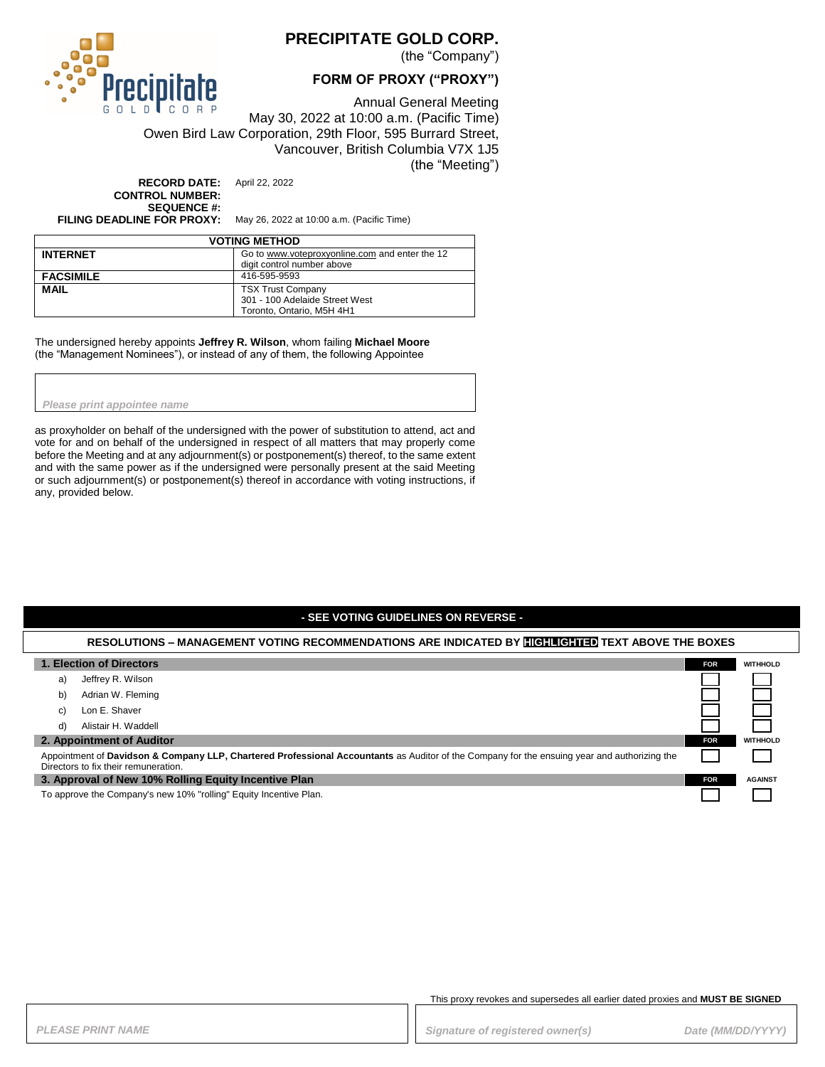

## **PRECIPITATE GOLD CORP.**

(the "Company")

### **FORM OF PROXY ("PROXY")**

Annual General Meeting May 30, 2022 at 10:00 a.m. (Pacific Time) Owen Bird Law Corporation, 29th Floor, 595 Burrard Street, Vancouver, British Columbia V7X 1J5 (the "Meeting")

**RECORD DATE:** April 22, 2022 **CONTROL NUMBER: SEQUENCE #:**<br>FILING DEADLINE FOR PROXY:

**FILING DEADLINE FOR PROXY:** May 26, 2022 at 10:00 a.m. (Pacific Time)

| <b>VOTING METHOD</b> |                                                |  |
|----------------------|------------------------------------------------|--|
| <b>INTERNET</b>      | Go to www.voteproxyonline.com and enter the 12 |  |
|                      | digit control number above                     |  |
| <b>FACSIMILE</b>     | 416-595-9593                                   |  |
| <b>MAIL</b>          | <b>TSX Trust Company</b>                       |  |
|                      | 301 - 100 Adelaide Street West                 |  |
|                      | Toronto, Ontario, M5H 4H1                      |  |

The undersigned hereby appoints **Jeffrey R. Wilson**, whom failing **Michael Moore** (the "Management Nominees"), or instead of any of them, the following Appointee

*Please print appointee name*

as proxyholder on behalf of the undersigned with the power of substitution to attend, act and vote for and on behalf of the undersigned in respect of all matters that may properly come before the Meeting and at any adjournment(s) or postponement(s) thereof, to the same extent and with the same power as if the undersigned were personally present at the said Meeting or such adjournment(s) or postponement(s) thereof in accordance with voting instructions, if any, provided below.

#### **- SEE VOTING GUIDELINES ON REVERSE -**

#### **RESOLUTIONS – MANAGEMENT VOTING RECOMMENDATIONS ARE INDICATED BY HIGHLIGHTED TEXT ABOVE THE BOXES**

| 1. Election of Directors                                                                                                                                                             | <b>FOR</b> | <b>WITHHOLD</b> |
|--------------------------------------------------------------------------------------------------------------------------------------------------------------------------------------|------------|-----------------|
| Jeffrey R. Wilson<br>a)                                                                                                                                                              |            |                 |
| Adrian W. Fleming<br>b)                                                                                                                                                              |            |                 |
| Lon E. Shaver<br>C)                                                                                                                                                                  |            |                 |
| Alistair H. Waddell<br>d)                                                                                                                                                            |            |                 |
| 2. Appointment of Auditor                                                                                                                                                            | <b>FOR</b> | <b>WITHHOLD</b> |
| Appointment of Davidson & Company LLP, Chartered Professional Accountants as Auditor of the Company for the ensuing year and authorizing the<br>Directors to fix their remuneration. |            |                 |
| 3. Approval of New 10% Rolling Equity Incentive Plan                                                                                                                                 |            | <b>AGAINST</b>  |
| To approve the Company's new 10% "rolling" Equity Incentive Plan.                                                                                                                    |            |                 |

This proxy revokes and supersedes all earlier dated proxies and **MUST BE SIGNED**